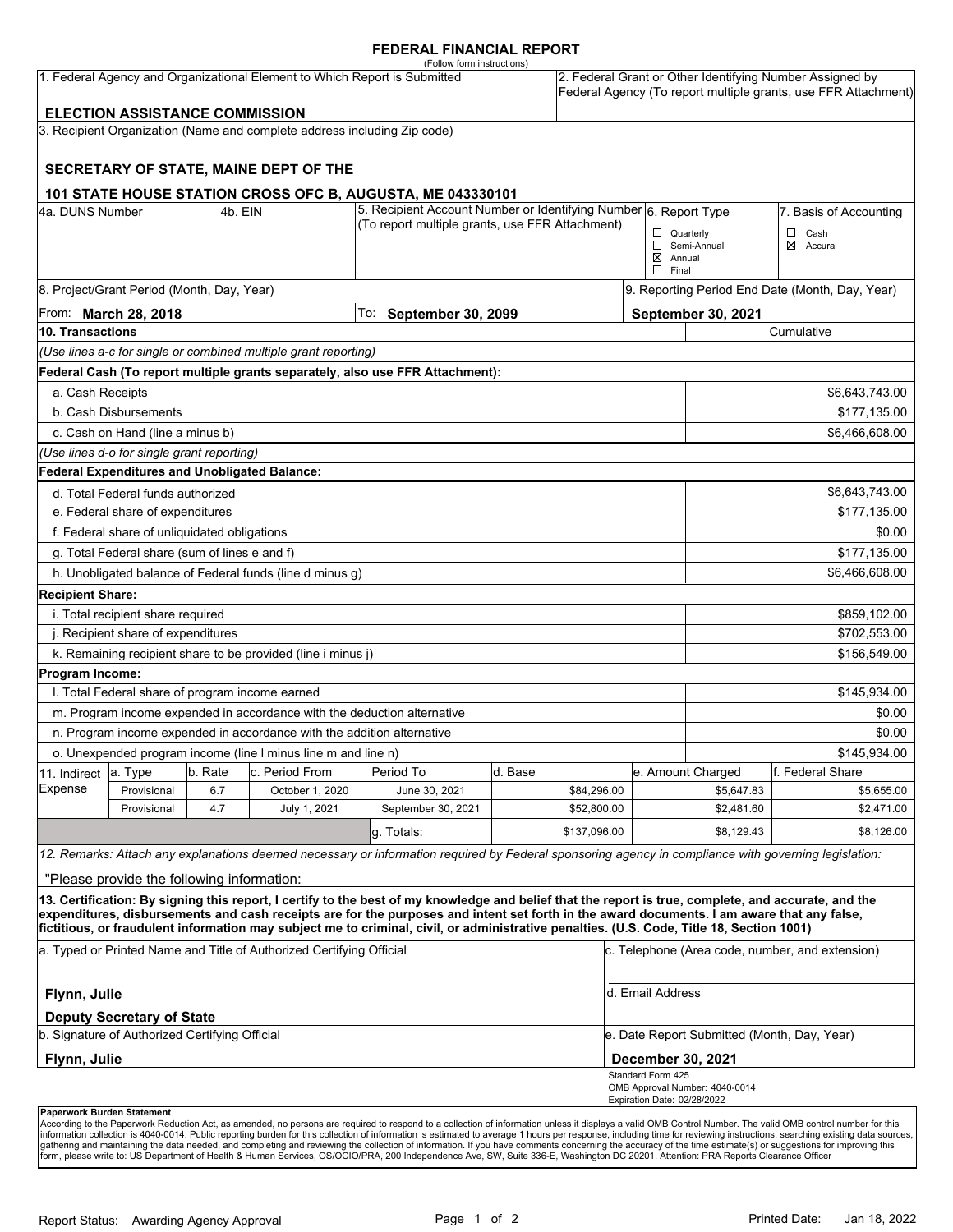#### **FEDERAL FINANCIAL REPORT**

| (Follow form instructions)<br>1. Federal Agency and Organizational Element to Which Report is Submitted<br><b>ELECTION ASSISTANCE COMMISSION</b> |                                                 |         |                                                                          |                                                                                                                                                      |         |              | 2. Federal Grant or Other Identifying Number Assigned by<br>Federal Agency (To report multiple grants, use FFR Attachment) |                                                 |                  |  |
|--------------------------------------------------------------------------------------------------------------------------------------------------|-------------------------------------------------|---------|--------------------------------------------------------------------------|------------------------------------------------------------------------------------------------------------------------------------------------------|---------|--------------|----------------------------------------------------------------------------------------------------------------------------|-------------------------------------------------|------------------|--|
|                                                                                                                                                  |                                                 |         | 3. Recipient Organization (Name and complete address including Zip code) |                                                                                                                                                      |         |              |                                                                                                                            |                                                 |                  |  |
|                                                                                                                                                  |                                                 |         |                                                                          |                                                                                                                                                      |         |              |                                                                                                                            |                                                 |                  |  |
|                                                                                                                                                  |                                                 |         | SECRETARY OF STATE, MAINE DEPT OF THE                                    |                                                                                                                                                      |         |              |                                                                                                                            |                                                 |                  |  |
|                                                                                                                                                  |                                                 |         |                                                                          | 101 STATE HOUSE STATION CROSS OFC B, AUGUSTA, ME 043330101                                                                                           |         |              |                                                                                                                            |                                                 |                  |  |
| 4a. DUNS Number                                                                                                                                  |                                                 | 4b. EIN |                                                                          | 5. Recipient Account Number or Identifying Number 6. Report Type                                                                                     |         |              | 7. Basis of Accounting                                                                                                     |                                                 |                  |  |
|                                                                                                                                                  |                                                 |         |                                                                          | (To report multiple grants, use FFR Attachment)                                                                                                      |         |              |                                                                                                                            | $\Box$ Quarterly                                | $\Box$<br>Cash   |  |
|                                                                                                                                                  |                                                 |         |                                                                          |                                                                                                                                                      |         |              |                                                                                                                            | Semi-Annual                                     | ⊠<br>Accural     |  |
|                                                                                                                                                  |                                                 |         |                                                                          |                                                                                                                                                      |         |              | $\boxtimes$ Annual<br>$\Box$ Final                                                                                         |                                                 |                  |  |
|                                                                                                                                                  | 8. Project/Grant Period (Month, Day, Year)      |         |                                                                          |                                                                                                                                                      |         |              |                                                                                                                            | 9. Reporting Period End Date (Month, Day, Year) |                  |  |
| From: <b>March 28, 2018</b>                                                                                                                      |                                                 |         |                                                                          | To: September 30, 2099                                                                                                                               |         |              | September 30, 2021                                                                                                         |                                                 |                  |  |
| 10. Transactions                                                                                                                                 |                                                 |         |                                                                          |                                                                                                                                                      |         |              | Cumulative                                                                                                                 |                                                 |                  |  |
|                                                                                                                                                  |                                                 |         | (Use lines a-c for single or combined multiple grant reporting)          |                                                                                                                                                      |         |              |                                                                                                                            |                                                 |                  |  |
|                                                                                                                                                  |                                                 |         |                                                                          | Federal Cash (To report multiple grants separately, also use FFR Attachment):                                                                        |         |              |                                                                                                                            |                                                 |                  |  |
| a. Cash Receipts                                                                                                                                 |                                                 |         |                                                                          |                                                                                                                                                      |         |              |                                                                                                                            |                                                 | \$6,643,743.00   |  |
|                                                                                                                                                  | b. Cash Disbursements                           |         |                                                                          |                                                                                                                                                      |         |              |                                                                                                                            |                                                 | \$177,135.00     |  |
| c. Cash on Hand (line a minus b)                                                                                                                 |                                                 |         |                                                                          |                                                                                                                                                      |         |              |                                                                                                                            |                                                 | \$6,466,608.00   |  |
|                                                                                                                                                  | (Use lines d-o for single grant reporting)      |         |                                                                          |                                                                                                                                                      |         |              |                                                                                                                            |                                                 |                  |  |
|                                                                                                                                                  | Federal Expenditures and Unobligated Balance:   |         |                                                                          |                                                                                                                                                      |         |              |                                                                                                                            |                                                 |                  |  |
|                                                                                                                                                  | d. Total Federal funds authorized               |         |                                                                          |                                                                                                                                                      |         |              |                                                                                                                            |                                                 | \$6,643,743.00   |  |
| e. Federal share of expenditures                                                                                                                 |                                                 |         |                                                                          |                                                                                                                                                      |         |              |                                                                                                                            |                                                 | \$177,135.00     |  |
| f. Federal share of unliquidated obligations                                                                                                     |                                                 |         |                                                                          |                                                                                                                                                      |         |              |                                                                                                                            | \$0.00                                          |                  |  |
| g. Total Federal share (sum of lines e and f)                                                                                                    |                                                 |         |                                                                          |                                                                                                                                                      |         |              |                                                                                                                            |                                                 | \$177,135.00     |  |
| h. Unobligated balance of Federal funds (line d minus g)                                                                                         |                                                 |         |                                                                          |                                                                                                                                                      |         |              |                                                                                                                            |                                                 | \$6,466,608.00   |  |
| <b>Recipient Share:</b>                                                                                                                          |                                                 |         |                                                                          |                                                                                                                                                      |         |              |                                                                                                                            |                                                 |                  |  |
|                                                                                                                                                  | i. Total recipient share required               |         |                                                                          |                                                                                                                                                      |         |              |                                                                                                                            |                                                 | \$859,102.00     |  |
| j. Recipient share of expenditures                                                                                                               |                                                 |         |                                                                          |                                                                                                                                                      |         |              |                                                                                                                            | \$702,553.00                                    |                  |  |
| k. Remaining recipient share to be provided (line i minus j)                                                                                     |                                                 |         |                                                                          |                                                                                                                                                      |         |              |                                                                                                                            | \$156,549.00                                    |                  |  |
| Program Income:                                                                                                                                  |                                                 |         |                                                                          |                                                                                                                                                      |         |              |                                                                                                                            |                                                 |                  |  |
|                                                                                                                                                  | I. Total Federal share of program income earned |         |                                                                          |                                                                                                                                                      |         |              |                                                                                                                            |                                                 | \$145,934.00     |  |
| m. Program income expended in accordance with the deduction alternative                                                                          |                                                 |         |                                                                          |                                                                                                                                                      |         |              |                                                                                                                            | \$0.00                                          |                  |  |
| n. Program income expended in accordance with the addition alternative                                                                           |                                                 |         |                                                                          |                                                                                                                                                      |         |              |                                                                                                                            | \$0.00                                          |                  |  |
|                                                                                                                                                  |                                                 |         | o. Unexpended program income (line I minus line m and line n)            |                                                                                                                                                      |         |              |                                                                                                                            |                                                 | \$145,934.00     |  |
| 11. Indirect                                                                                                                                     | a. Type                                         | b. Rate | c. Period From                                                           | Period To                                                                                                                                            | d. Base |              |                                                                                                                            | e. Amount Charged                               | f. Federal Share |  |
| Expense                                                                                                                                          | Provisional                                     | 6.7     | October 1, 2020                                                          | June 30, 2021                                                                                                                                        |         | \$84,296.00  |                                                                                                                            | \$5,647.83                                      | \$5,655.00       |  |
|                                                                                                                                                  | Provisional                                     | 4.7     | July 1, 2021                                                             | September 30, 2021                                                                                                                                   |         | \$52,800.00  |                                                                                                                            | \$2,481.60                                      | \$2,471.00       |  |
|                                                                                                                                                  |                                                 |         |                                                                          | g. Totals:                                                                                                                                           |         | \$137,096.00 |                                                                                                                            | \$8,129.43                                      | \$8,126.00       |  |
|                                                                                                                                                  |                                                 |         |                                                                          | 12. Remarks: Attach any explanations deemed necessary or information required by Federal sponsoring agency in compliance with governing legislation: |         |              |                                                                                                                            |                                                 |                  |  |
|                                                                                                                                                  | "Please provide the following information:      |         |                                                                          |                                                                                                                                                      |         |              |                                                                                                                            |                                                 |                  |  |
|                                                                                                                                                  |                                                 |         |                                                                          | 13. Certification: By signing this report, I certify to the best of my knowledge and belief that the report is true, complete, and accurate, and the |         |              |                                                                                                                            |                                                 |                  |  |
|                                                                                                                                                  |                                                 |         |                                                                          | expenditures, disbursements and cash receipts are for the purposes and intent set forth in the award documents. I am aware that any false,           |         |              |                                                                                                                            |                                                 |                  |  |
|                                                                                                                                                  |                                                 |         |                                                                          | fictitious, or fraudulent information may subject me to criminal, civil, or administrative penalties. (U.S. Code, Title 18, Section 1001)            |         |              |                                                                                                                            |                                                 |                  |  |
| a. Typed or Printed Name and Title of Authorized Certifying Official                                                                             |                                                 |         |                                                                          |                                                                                                                                                      |         |              | c. Telephone (Area code, number, and extension)                                                                            |                                                 |                  |  |
| Flynn, Julie                                                                                                                                     |                                                 |         |                                                                          |                                                                                                                                                      |         |              | d. Email Address                                                                                                           |                                                 |                  |  |
|                                                                                                                                                  | <b>Deputy Secretary of State</b>                |         |                                                                          |                                                                                                                                                      |         |              |                                                                                                                            |                                                 |                  |  |
| b. Signature of Authorized Certifying Official                                                                                                   |                                                 |         |                                                                          |                                                                                                                                                      |         |              | e. Date Report Submitted (Month, Day, Year)                                                                                |                                                 |                  |  |
| Flynn, Julie                                                                                                                                     |                                                 |         |                                                                          |                                                                                                                                                      |         |              |                                                                                                                            | December 30, 2021                               |                  |  |
|                                                                                                                                                  |                                                 |         |                                                                          |                                                                                                                                                      |         |              | Standard Form 425<br>Expiration Date: 02/28/2022                                                                           | OMB Approval Number: 4040-0014                  |                  |  |
|                                                                                                                                                  | Paperwork Burden Statement                      |         |                                                                          |                                                                                                                                                      |         |              |                                                                                                                            |                                                 |                  |  |

According to the Paperwork Reduction Act, as amended, no persons are required to respond to a collection of information unless it displays a valid OMB Control Number. The valid OMB control number for this<br>information colle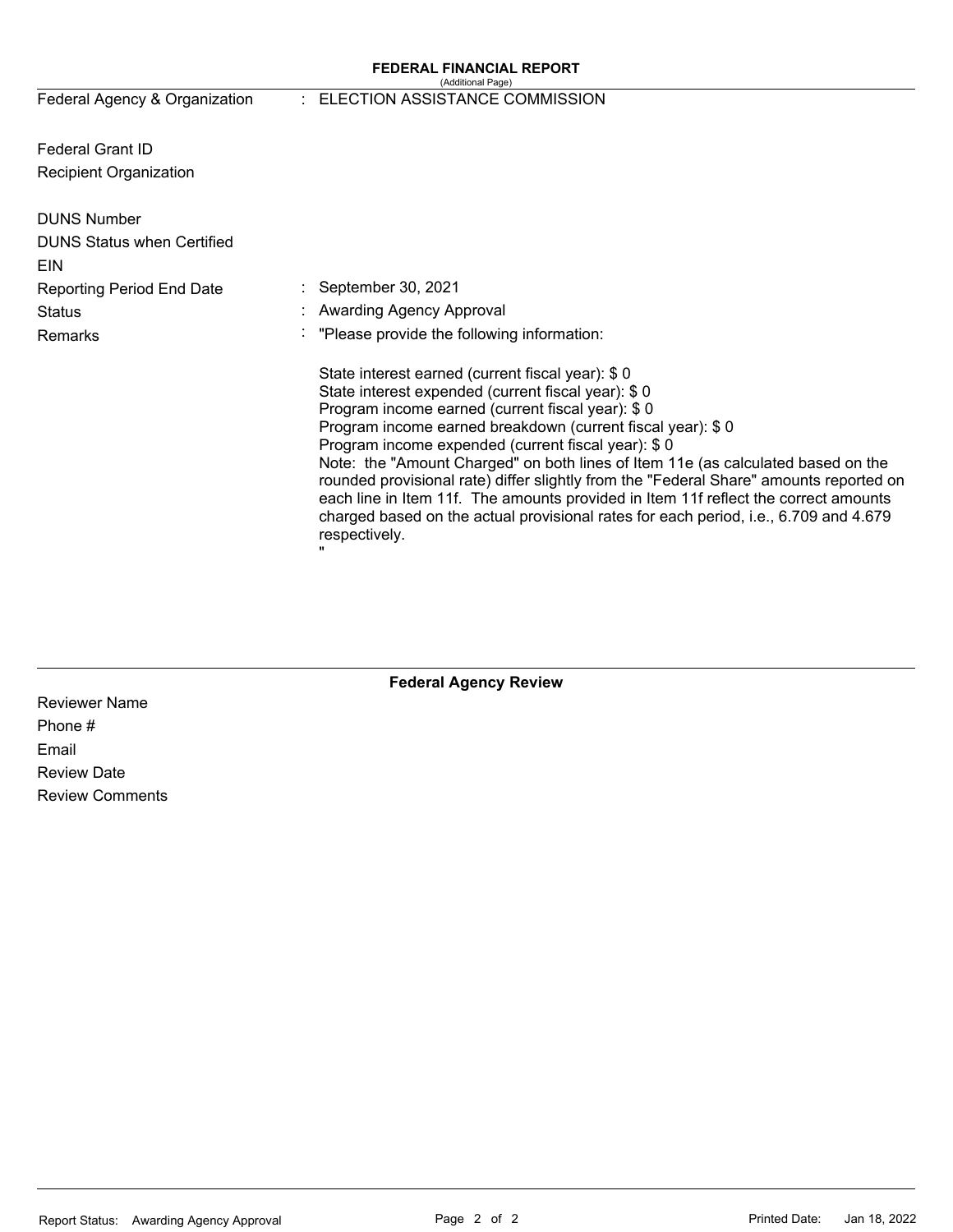#### **FEDERAL FINANCIAL REPORT**  (Additional Page)

Federal Agency & Organization

#### : ELECTION ASSISTANCE COMMISSION

Federal Grant ID Recipient Organization

| <b>DUNS Number</b><br><b>DUNS Status when Certified</b><br>EIN |                                                                                                                                                                                                                                                                                                                                                                                                                                                                                                                                                                                                                                                                   |
|----------------------------------------------------------------|-------------------------------------------------------------------------------------------------------------------------------------------------------------------------------------------------------------------------------------------------------------------------------------------------------------------------------------------------------------------------------------------------------------------------------------------------------------------------------------------------------------------------------------------------------------------------------------------------------------------------------------------------------------------|
| <b>Reporting Period End Date</b>                               | $\therefore$ September 30, 2021                                                                                                                                                                                                                                                                                                                                                                                                                                                                                                                                                                                                                                   |
| <b>Status</b>                                                  | : Awarding Agency Approval                                                                                                                                                                                                                                                                                                                                                                                                                                                                                                                                                                                                                                        |
| <b>Remarks</b>                                                 | : "Please provide the following information:                                                                                                                                                                                                                                                                                                                                                                                                                                                                                                                                                                                                                      |
|                                                                | State interest earned (current fiscal year): \$0<br>State interest expended (current fiscal year): \$0<br>Program income earned (current fiscal year): \$0<br>Program income earned breakdown (current fiscal year): \$0<br>Program income expended (current fiscal year): \$0<br>Note: the "Amount Charged" on both lines of Item 11e (as calculated based on the<br>rounded provisional rate) differ slightly from the "Federal Share" amounts reported on<br>each line in Item 11f. The amounts provided in Item 11f reflect the correct amounts<br>charged based on the actual provisional rates for each period, i.e., 6.709 and 4.679<br>respectively.<br>" |

## **Federal Agency Review**

Reviewer Name Phone # Email Review Date Review Comments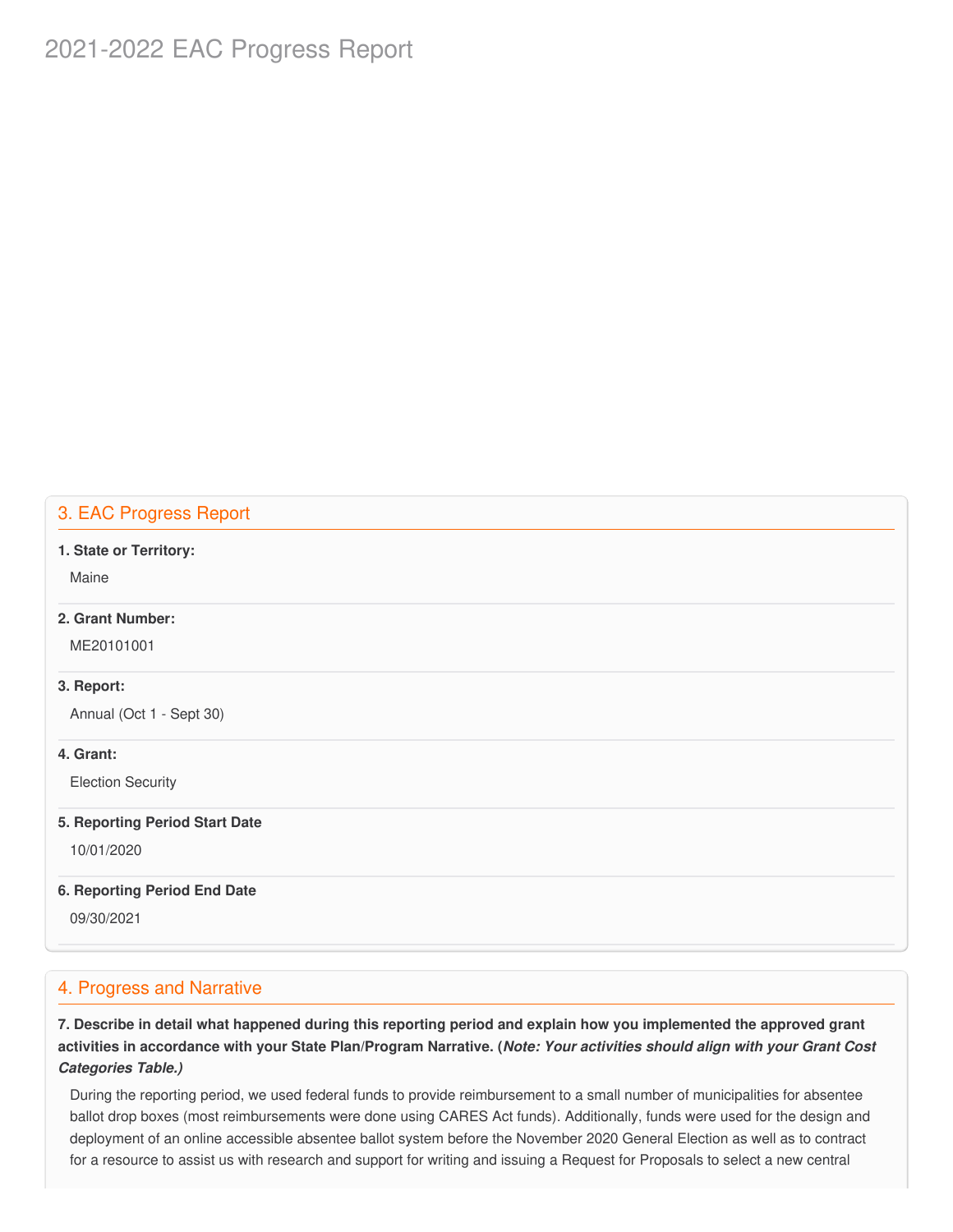# 2021-2022 EAC Progress Report

# 3. EAC Progress Report

#### **1. State or Territory:**

Maine

### **2. Grant Number:**

ME20101001

#### **3. Report:**

Annual (Oct 1 - Sept 30)

#### **4. Grant:**

Election Security

#### **5. Reporting Period Start Date**

10/01/2020

#### **6. Reporting Period End Date**

09/30/2021

### 4. Progress and Narrative

7. Describe in detail what happened during this reporting period and explain how you implemented the approved grant activities in accordance with your State Plan/Program Narrative. (*Note: Your activities should align with your Grant Cost Categories Table.)*

 During the reporting period, we used federal funds to provide reimbursement to a small number of municipalities for absentee ballot drop boxes (most reimbursements were done using CARES Act funds). Additionally, funds were used for the design and deployment of an online accessible absentee ballot system before the November 2020 General Election as well as to contract for a resource to assist us with research and support for writing and issuing a Request for Proposals to select a new central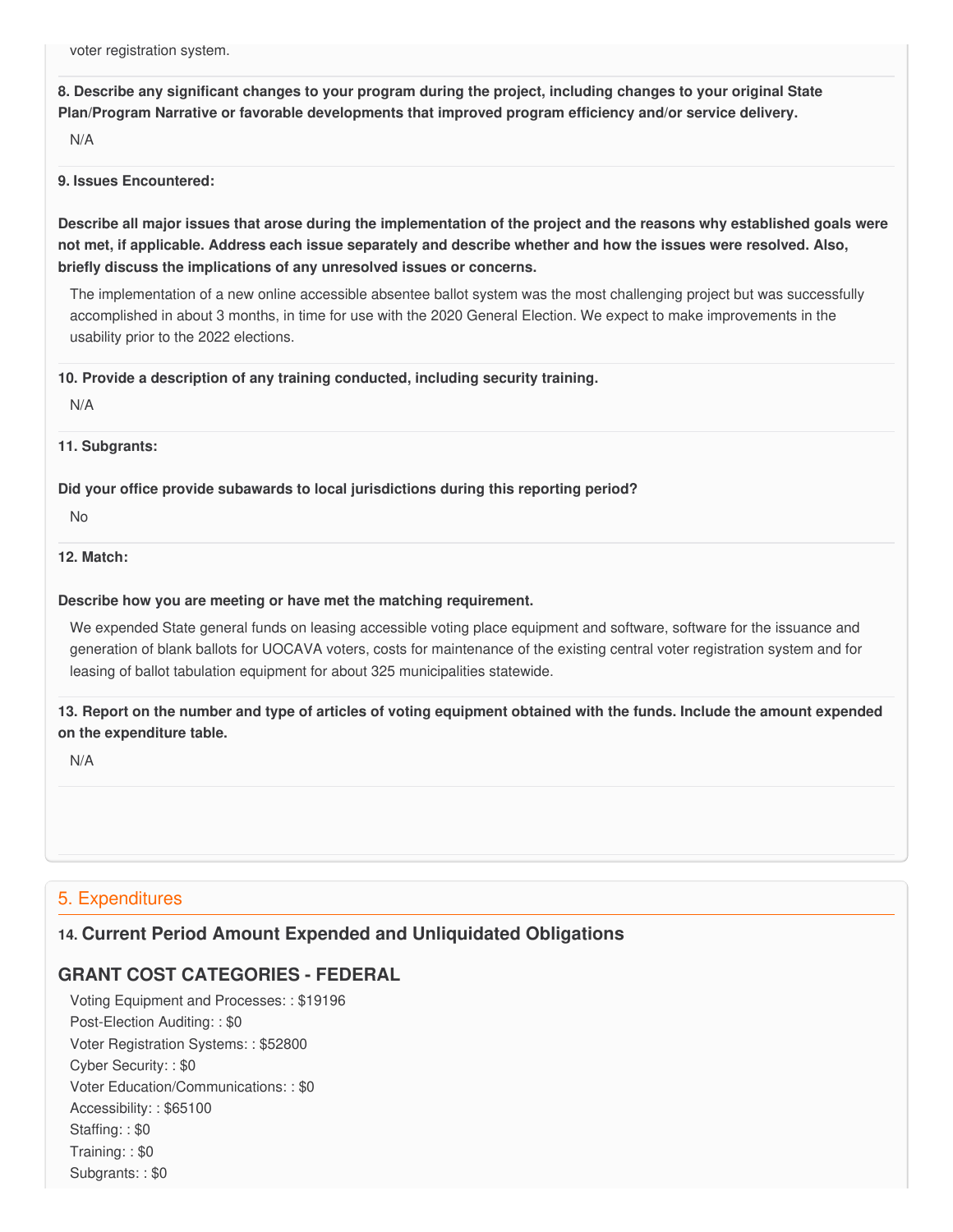voter registration system.

8. Describe any significant changes to your program during the project, including changes to your original State  **Plan/Program Narrative or favorable developments that improved program efficiency and/or service delivery.**

N/A

#### **9. Issues Encountered:**

Describe all major issues that arose during the implementation of the project and the reasons why established goals were not met, if applicable. Address each issue separately and describe whether and how the issues were resolved. Also,  **briefly discuss the implications of any unresolved issues or concerns.**

 The implementation of a new online accessible absentee ballot system was the most challenging project but was successfully accomplished in about 3 months, in time for use with the 2020 General Election. We expect to make improvements in the usability prior to the 2022 elections.

 **10. Provide a description of any training conducted, including security training.**

N/A

**11. Subgrants:**

 **Did your office provide subawards to local jurisdictions during this reporting period?**

No

### **12. Match:**

#### **Describe how you are meeting or have met the matching requirement.**

 We expended State general funds on leasing accessible voting place equipment and software, software for the issuance and generation of blank ballots for UOCAVA voters, costs for maintenance of the existing central voter registration system and for leasing of ballot tabulation equipment for about 325 municipalities statewide.

13. Report on the number and type of articles of voting equipment obtained with the funds. Include the amount expended  **on the expenditure table.**

N/A

# 5. Expenditures

# **14. Current Period Amount Expended and Unliquidated Obligations**

# **GRANT COST CATEGORIES - FEDERAL**

 Voting Equipment and Processes: : \$19196 Post-Election Auditing: : \$0 Voter Registration Systems: : \$52800 Cyber Security: : \$0 Voter Education/Communications: : \$0 Accessibility: : \$65100 Staffing: : \$0 Training: : \$0 Subgrants: : \$0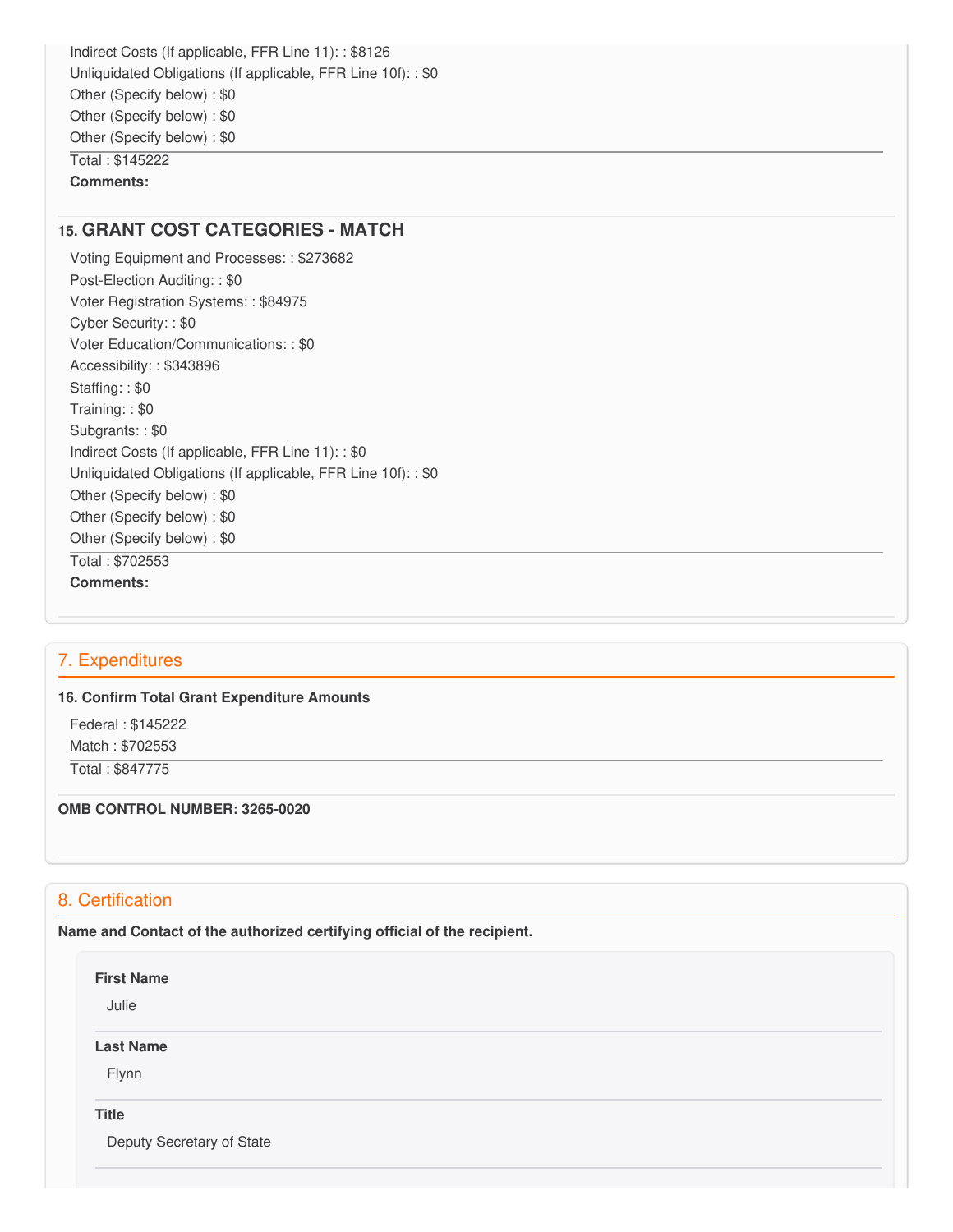Indirect Costs (If applicable, FFR Line 11): : \$8126 Unliquidated Obligations (If applicable, FFR Line 10f): : \$0 Other (Specify below) : \$0 Other (Specify below) : \$0 Other (Specify below) : \$0 Total : \$145222 **Comments:**

### **15. GRANT COST CATEGORIES - MATCH**

 Voting Equipment and Processes: : \$273682 Post-Election Auditing: : \$0 Voter Registration Systems: : \$84975 Cyber Security: : \$0 Voter Education/Communications: : \$0 Accessibility: : \$343896 Staffing: : \$0 Training: : \$0 Subgrants: : \$0 Indirect Costs (If applicable, FFR Line 11): : \$0 Unliquidated Obligations (If applicable, FFR Line 10f): : \$0 Other (Specify below) : \$0 Other (Specify below) : \$0 Other (Specify below) : \$0 Total : \$702553 **Comments:**

### 7. Expenditures

#### **16. Confirm Total Grant Expenditure Amounts**

 Federal : \$145222 Match : \$702553 Total : \$847775

#### **OMB CONTROL NUMBER: 3265-0020**

# 8. Certification

 **Name and Contact of the authorized certifying official of the recipient.**

**First Name**

Julie

**Last Name**

Flynn

**Title**

Deputy Secretary of State